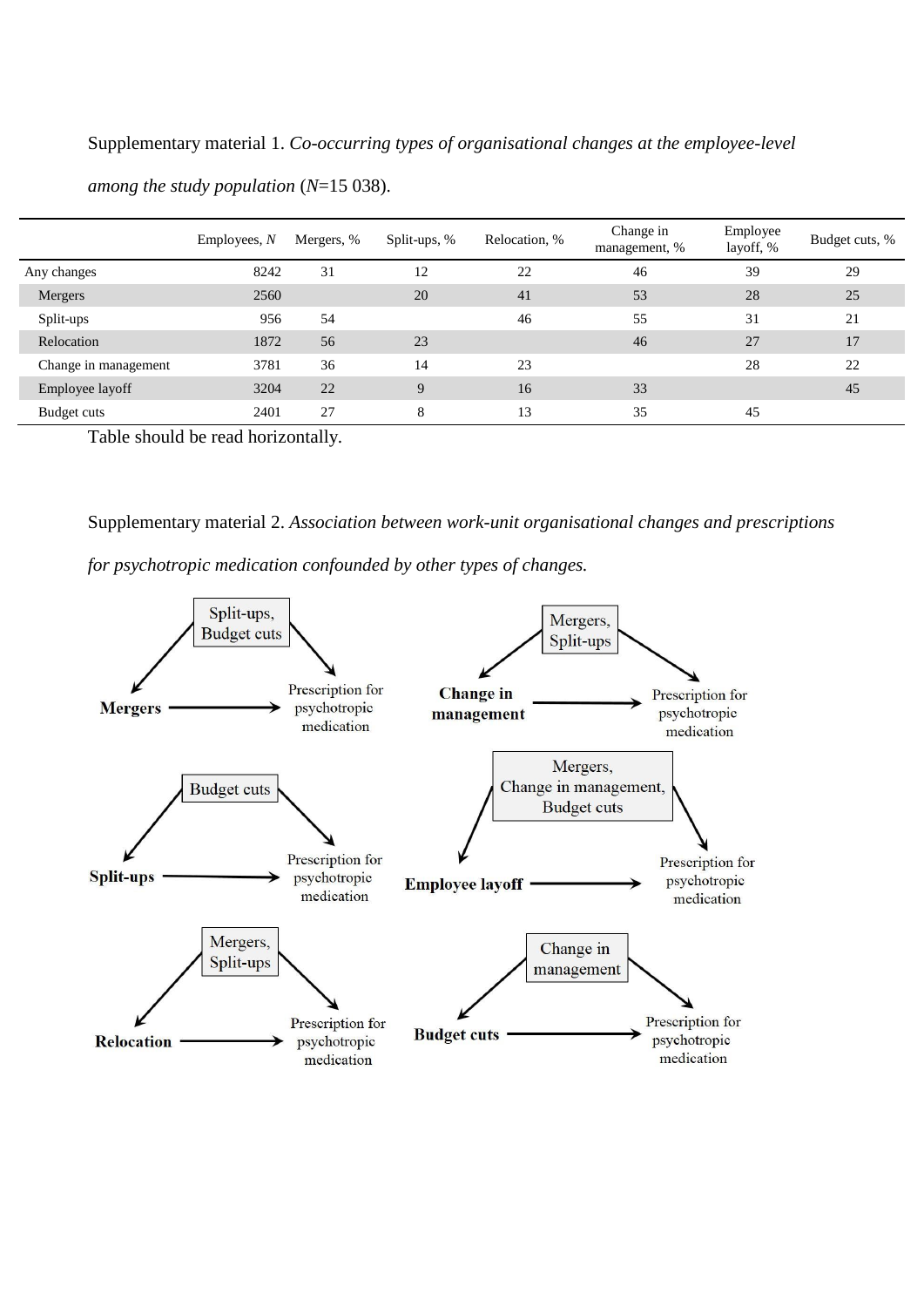Supplementary material 1. *Co-occurring types of organisational changes at the employee-level* 

|                                | Emplorees, N | Mergers, % | Split-ups, % | Relocation, % | Change in<br>management, % | Employee<br>layoff, % | Budget cuts, % |
|--------------------------------|--------------|------------|--------------|---------------|----------------------------|-----------------------|----------------|
| Any changes                    | 8242         | 31         | 12           | 22            | 46                         | 39                    | 29             |
| Mergers                        | 2560         |            | 20           | 41            | 53                         | 28                    | 25             |
| Split-ups                      | 956          | 54         |              | 46            | 55                         | 31                    | 21             |
| Relocation                     | 1872         | 56         | 23           |               | 46                         | 27                    | 17             |
| Change in management           | 3781         | 36         | 14           | 23            |                            | 28                    | 22             |
| Employee layoff                | 3204         | 22         | 9            | 16            | 33                         |                       | 45             |
| Budget cuts<br>111<br>$T = 11$ | 2401         | 27         | 8            | 13            | 35                         | 45                    |                |

*among the study population* (*N*=15 038).

Table should be read horizontally.

Supplementary material 2. *Association between work-unit organisational changes and prescriptions* 

*for psychotropic medication confounded by other types of changes.*

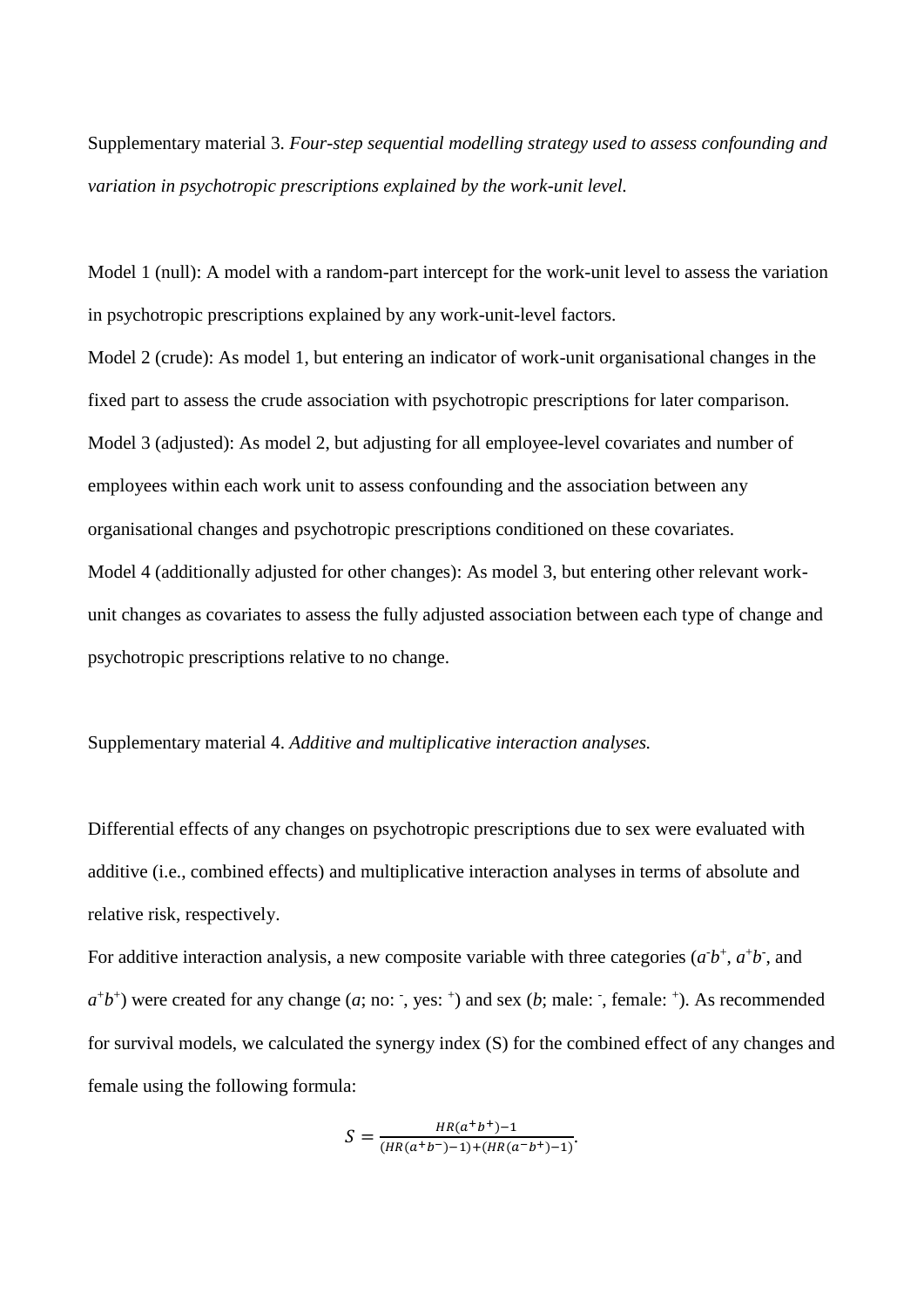Supplementary material 3. *Four-step sequential modelling strategy used to assess confounding and variation in psychotropic prescriptions explained by the work-unit level.*

Model 1 (null): A model with a random-part intercept for the work-unit level to assess the variation in psychotropic prescriptions explained by any work-unit-level factors.

Model 2 (crude): As model 1, but entering an indicator of work-unit organisational changes in the fixed part to assess the crude association with psychotropic prescriptions for later comparison. Model 3 (adjusted): As model 2, but adjusting for all employee-level covariates and number of employees within each work unit to assess confounding and the association between any organisational changes and psychotropic prescriptions conditioned on these covariates. Model 4 (additionally adjusted for other changes): As model 3, but entering other relevant workunit changes as covariates to assess the fully adjusted association between each type of change and psychotropic prescriptions relative to no change.

Supplementary material 4. *Additive and multiplicative interaction analyses.*

Differential effects of any changes on psychotropic prescriptions due to sex were evaluated with additive (i.e., combined effects) and multiplicative interaction analyses in terms of absolute and relative risk, respectively.

For additive interaction analysis, a new composite variable with three categories  $(a^{\dagger}b^{\dagger}, a^{\dagger}b^{\dagger}, a$  and  $a^+b^+$ ) were created for any change  $(a; no: , yes: )$  and sex  $(b; male: , female: )$ . As recommended for survival models, we calculated the synergy index (S) for the combined effect of any changes and female using the following formula:

$$
S = \frac{HR(a^+b^+)-1}{(HR(a^+b^-)-1)+(HR(a^-b^+)-1)}.
$$